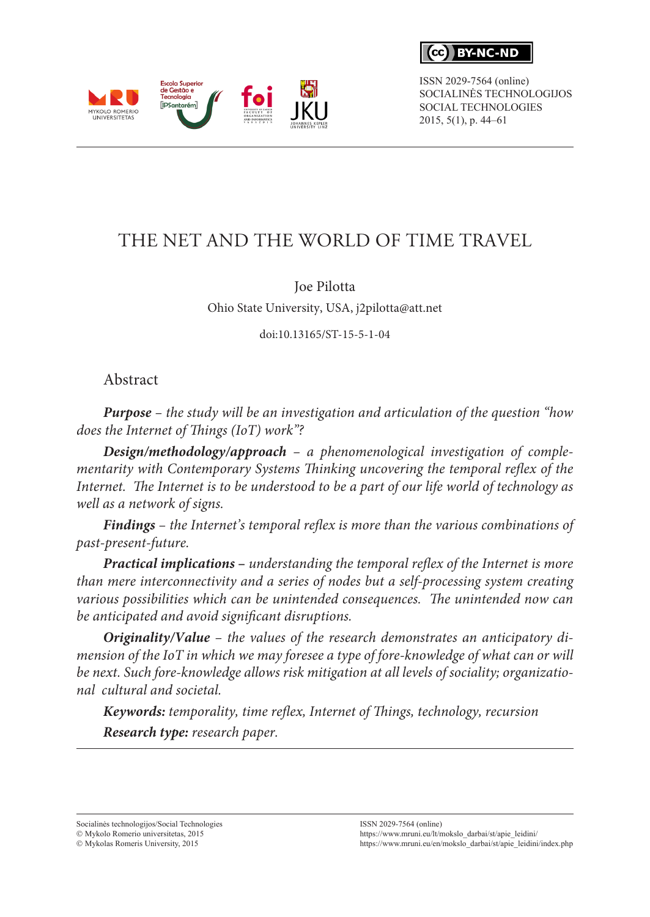

ISSN 2029-7564 (online) SOCIALINĖS TECHNOLOGIJOS SOCIAL TECHNOLOGIES 2015, 5(1), p. 44–61

# THE NET AND THE WORLD OF TIME TRAVEL

### Joe Pilotta

Ohio State University, USA, j2pilotta@att.net

doi:10.13165/ST-15-5-1-04

### Abstract

**MYKOLO ROMERIO**<br>UNIVERSITETAS

Escola Superior de Gestão e Tecnologia

*Purpose – the study will be an investigation and articulation of the question "how does the Internet of Things (IoT) work"?* 

*Design/methodology/approach – a phenomenological investigation of complementarity with Contemporary Systems Thinking uncovering the temporal reflex of the Internet. The Internet is to be understood to be a part of our life world of technology as well as a network of signs.*

*Findings – the Internet's temporal reflex is more than the various combinations of past-present-future.*

*Practical implications* **–** *understanding the temporal reflex of the Internet is more than mere interconnectivity and a series of nodes but a self-processing system creating various possibilities which can be unintended consequences. The unintended now can be anticipated and avoid significant disruptions.* 

*Originality/Value – the values of the research demonstrates an anticipatory dimension of the IoT in which we may foresee a type of fore-knowledge of what can or will be next. Such fore-knowledge allows risk mitigation at all levels of sociality; organizational cultural and societal.*

*Keywords: temporality, time reflex, Internet of Things, technology, recursion Research type: research paper.*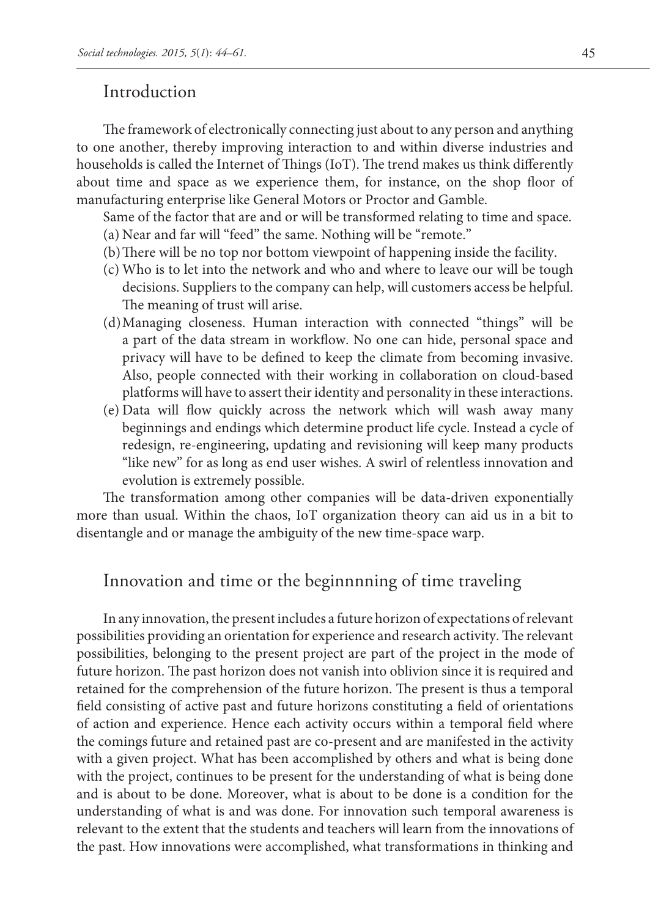### Introduction

The framework of electronically connecting just about to any person and anything to one another, thereby improving interaction to and within diverse industries and households is called the Internet of Things (IoT). The trend makes us think differently about time and space as we experience them, for instance, on the shop floor of manufacturing enterprise like General Motors or Proctor and Gamble.

Same of the factor that are and or will be transformed relating to time and space.

- (a) Near and far will "feed" the same. Nothing will be "remote."
- (b)There will be no top nor bottom viewpoint of happening inside the facility.
- (c) Who is to let into the network and who and where to leave our will be tough decisions. Suppliers to the company can help, will customers access be helpful. The meaning of trust will arise.
- (d)Managing closeness. Human interaction with connected "things" will be a part of the data stream in workflow. No one can hide, personal space and privacy will have to be defined to keep the climate from becoming invasive. Also, people connected with their working in collaboration on cloud-based platforms will have to assert their identity and personality in these interactions.
- (e) Data will flow quickly across the network which will wash away many beginnings and endings which determine product life cycle. Instead a cycle of redesign, re-engineering, updating and revisioning will keep many products "like new" for as long as end user wishes. A swirl of relentless innovation and evolution is extremely possible.

The transformation among other companies will be data-driven exponentially more than usual. Within the chaos, IoT organization theory can aid us in a bit to disentangle and or manage the ambiguity of the new time-space warp.

### Innovation and time or the beginnnning of time traveling

In any innovation, the present includes a future horizon of expectations of relevant possibilities providing an orientation for experience and research activity. The relevant possibilities, belonging to the present project are part of the project in the mode of future horizon. The past horizon does not vanish into oblivion since it is required and retained for the comprehension of the future horizon. The present is thus a temporal field consisting of active past and future horizons constituting a field of orientations of action and experience. Hence each activity occurs within a temporal field where the comings future and retained past are co-present and are manifested in the activity with a given project. What has been accomplished by others and what is being done with the project, continues to be present for the understanding of what is being done and is about to be done. Moreover, what is about to be done is a condition for the understanding of what is and was done. For innovation such temporal awareness is relevant to the extent that the students and teachers will learn from the innovations of the past. How innovations were accomplished, what transformations in thinking and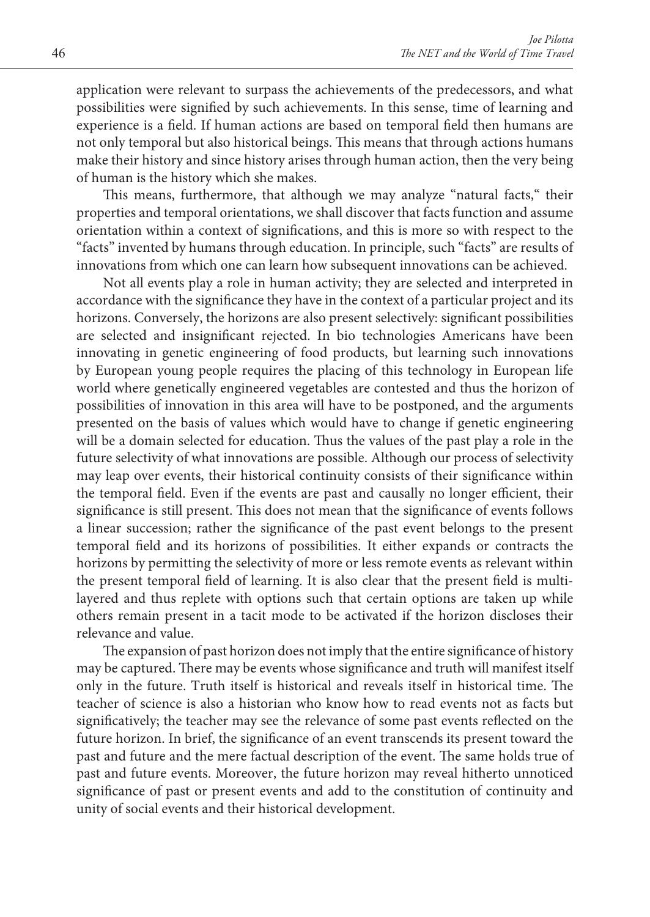application were relevant to surpass the achievements of the predecessors, and what possibilities were signified by such achievements. In this sense, time of learning and experience is a field. If human actions are based on temporal field then humans are not only temporal but also historical beings. This means that through actions humans make their history and since history arises through human action, then the very being of human is the history which she makes.

This means, furthermore, that although we may analyze "natural facts," their properties and temporal orientations, we shall discover that facts function and assume orientation within a context of significations, and this is more so with respect to the "facts" invented by humans through education. In principle, such "facts" are results of innovations from which one can learn how subsequent innovations can be achieved.

Not all events play a role in human activity; they are selected and interpreted in accordance with the significance they have in the context of a particular project and its horizons. Conversely, the horizons are also present selectively: significant possibilities are selected and insignificant rejected. In bio technologies Americans have been innovating in genetic engineering of food products, but learning such innovations by European young people requires the placing of this technology in European life world where genetically engineered vegetables are contested and thus the horizon of possibilities of innovation in this area will have to be postponed, and the arguments presented on the basis of values which would have to change if genetic engineering will be a domain selected for education. Thus the values of the past play a role in the future selectivity of what innovations are possible. Although our process of selectivity may leap over events, their historical continuity consists of their significance within the temporal field. Even if the events are past and causally no longer efficient, their significance is still present. This does not mean that the significance of events follows a linear succession; rather the significance of the past event belongs to the present temporal field and its horizons of possibilities. It either expands or contracts the horizons by permitting the selectivity of more or less remote events as relevant within the present temporal field of learning. It is also clear that the present field is multilayered and thus replete with options such that certain options are taken up while others remain present in a tacit mode to be activated if the horizon discloses their relevance and value.

The expansion of past horizon does not imply that the entire significance of history may be captured. There may be events whose significance and truth will manifest itself only in the future. Truth itself is historical and reveals itself in historical time. The teacher of science is also a historian who know how to read events not as facts but significatively; the teacher may see the relevance of some past events reflected on the future horizon. In brief, the significance of an event transcends its present toward the past and future and the mere factual description of the event. The same holds true of past and future events. Moreover, the future horizon may reveal hitherto unnoticed significance of past or present events and add to the constitution of continuity and unity of social events and their historical development.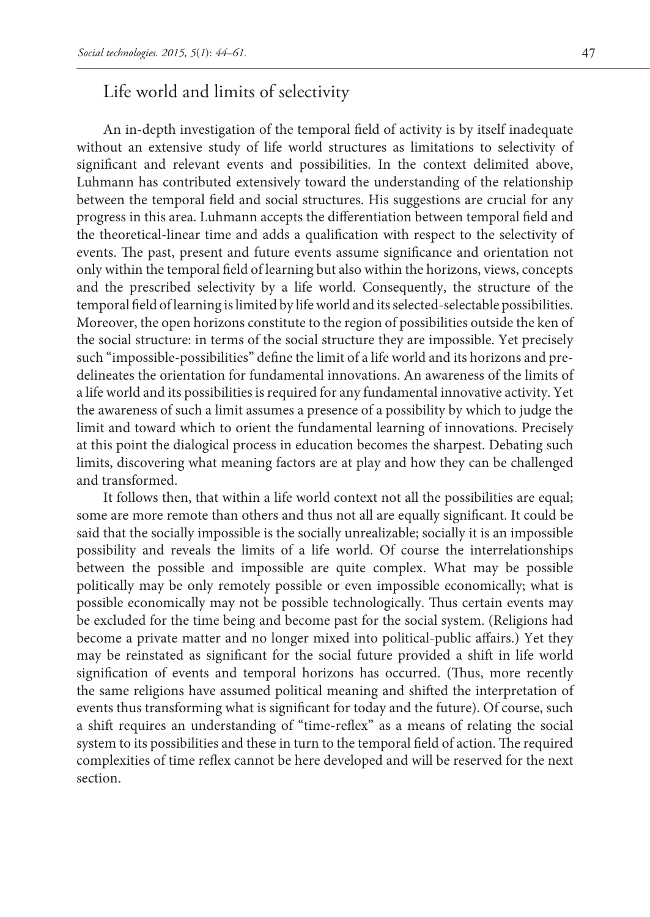### Life world and limits of selectivity

An in-depth investigation of the temporal field of activity is by itself inadequate without an extensive study of life world structures as limitations to selectivity of significant and relevant events and possibilities. In the context delimited above, Luhmann has contributed extensively toward the understanding of the relationship between the temporal field and social structures. His suggestions are crucial for any progress in this area. Luhmann accepts the differentiation between temporal field and the theoretical-linear time and adds a qualification with respect to the selectivity of events. The past, present and future events assume significance and orientation not only within the temporal field of learning but also within the horizons, views, concepts and the prescribed selectivity by a life world. Consequently, the structure of the temporal field of learning is limited by life world and its selected-selectable possibilities. Moreover, the open horizons constitute to the region of possibilities outside the ken of the social structure: in terms of the social structure they are impossible. Yet precisely such "impossible-possibilities" define the limit of a life world and its horizons and predelineates the orientation for fundamental innovations. An awareness of the limits of a life world and its possibilities is required for any fundamental innovative activity. Yet the awareness of such a limit assumes a presence of a possibility by which to judge the limit and toward which to orient the fundamental learning of innovations. Precisely at this point the dialogical process in education becomes the sharpest. Debating such limits, discovering what meaning factors are at play and how they can be challenged and transformed.

It follows then, that within a life world context not all the possibilities are equal; some are more remote than others and thus not all are equally significant. It could be said that the socially impossible is the socially unrealizable; socially it is an impossible possibility and reveals the limits of a life world. Of course the interrelationships between the possible and impossible are quite complex. What may be possible politically may be only remotely possible or even impossible economically; what is possible economically may not be possible technologically. Thus certain events may be excluded for the time being and become past for the social system. (Religions had become a private matter and no longer mixed into political-public affairs.) Yet they may be reinstated as significant for the social future provided a shift in life world signification of events and temporal horizons has occurred. (Thus, more recently the same religions have assumed political meaning and shifted the interpretation of events thus transforming what is significant for today and the future). Of course, such a shift requires an understanding of "time-reflex" as a means of relating the social system to its possibilities and these in turn to the temporal field of action. The required complexities of time reflex cannot be here developed and will be reserved for the next section.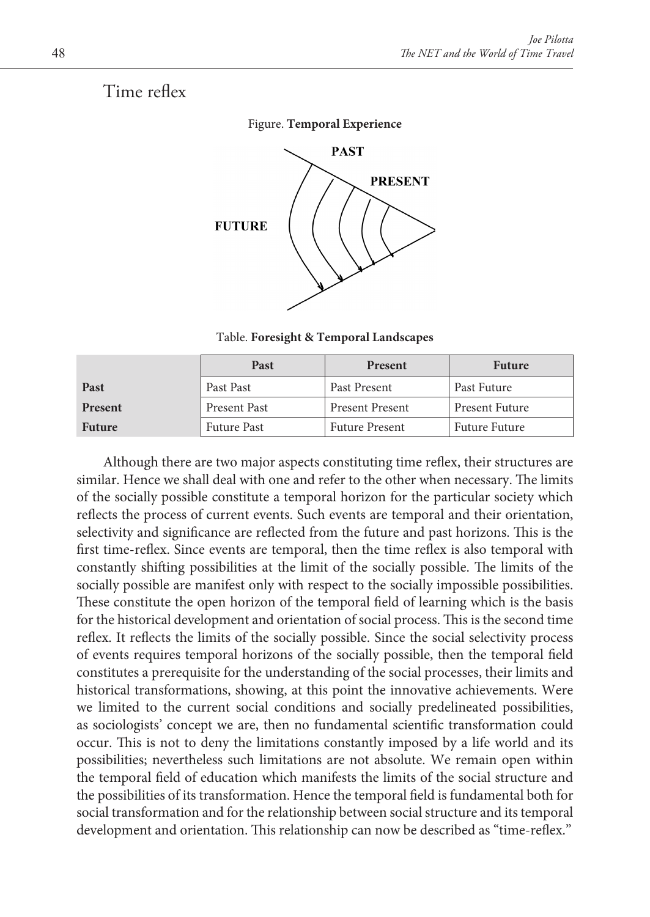## Time reflex



Table. **Foresight & Temporal Landscapes**

|                | Past               | <b>Present</b>         | <b>Future</b>         |
|----------------|--------------------|------------------------|-----------------------|
| Past           | Past Past          | Past Present           | Past Future           |
| <b>Present</b> | Present Past       | <b>Present Present</b> | <b>Present Future</b> |
| <b>Future</b>  | <b>Future Past</b> | <b>Future Present</b>  | <b>Future Future</b>  |

Although there are two major aspects constituting time reflex, their structures are similar. Hence we shall deal with one and refer to the other when necessary. The limits of the socially possible constitute a temporal horizon for the particular society which reflects the process of current events. Such events are temporal and their orientation, selectivity and significance are reflected from the future and past horizons. This is the first time-reflex. Since events are temporal, then the time reflex is also temporal with constantly shifting possibilities at the limit of the socially possible. The limits of the socially possible are manifest only with respect to the socially impossible possibilities. These constitute the open horizon of the temporal field of learning which is the basis for the historical development and orientation of social process. This is the second time reflex. It reflects the limits of the socially possible. Since the social selectivity process of events requires temporal horizons of the socially possible, then the temporal field constitutes a prerequisite for the understanding of the social processes, their limits and historical transformations, showing, at this point the innovative achievements. Were we limited to the current social conditions and socially predelineated possibilities, as sociologists' concept we are, then no fundamental scientific transformation could occur. This is not to deny the limitations constantly imposed by a life world and its possibilities; nevertheless such limitations are not absolute. We remain open within the temporal field of education which manifests the limits of the social structure and the possibilities of its transformation. Hence the temporal field is fundamental both for social transformation and for the relationship between social structure and its temporal development and orientation. This relationship can now be described as "time-reflex."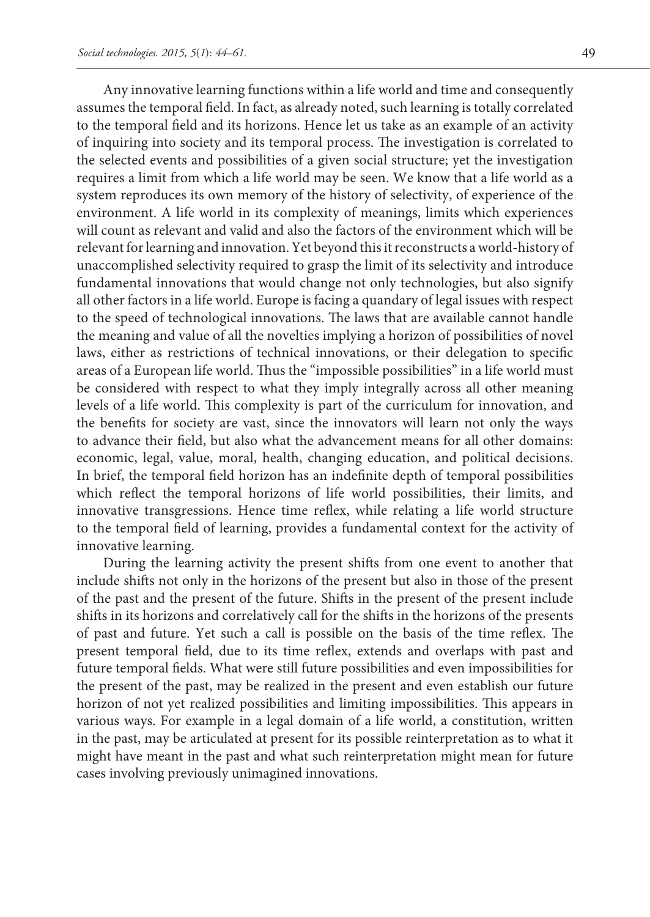Any innovative learning functions within a life world and time and consequently assumes the temporal field. In fact, as already noted, such learning is totally correlated to the temporal field and its horizons. Hence let us take as an example of an activity of inquiring into society and its temporal process. The investigation is correlated to the selected events and possibilities of a given social structure; yet the investigation requires a limit from which a life world may be seen. We know that a life world as a system reproduces its own memory of the history of selectivity, of experience of the environment. A life world in its complexity of meanings, limits which experiences will count as relevant and valid and also the factors of the environment which will be relevant for learning and innovation. Yet beyond this it reconstructs a world-history of unaccomplished selectivity required to grasp the limit of its selectivity and introduce fundamental innovations that would change not only technologies, but also signify all other factors in a life world. Europe is facing a quandary of legal issues with respect to the speed of technological innovations. The laws that are available cannot handle the meaning and value of all the novelties implying a horizon of possibilities of novel laws, either as restrictions of technical innovations, or their delegation to specific areas of a European life world. Thus the "impossible possibilities" in a life world must be considered with respect to what they imply integrally across all other meaning levels of a life world. This complexity is part of the curriculum for innovation, and the benefits for society are vast, since the innovators will learn not only the ways to advance their field, but also what the advancement means for all other domains: economic, legal, value, moral, health, changing education, and political decisions. In brief, the temporal field horizon has an indefinite depth of temporal possibilities which reflect the temporal horizons of life world possibilities, their limits, and innovative transgressions. Hence time reflex, while relating a life world structure to the temporal field of learning, provides a fundamental context for the activity of innovative learning.

During the learning activity the present shifts from one event to another that include shifts not only in the horizons of the present but also in those of the present of the past and the present of the future. Shifts in the present of the present include shifts in its horizons and correlatively call for the shifts in the horizons of the presents of past and future. Yet such a call is possible on the basis of the time reflex. The present temporal field, due to its time reflex, extends and overlaps with past and future temporal fields. What were still future possibilities and even impossibilities for the present of the past, may be realized in the present and even establish our future horizon of not yet realized possibilities and limiting impossibilities. This appears in various ways. For example in a legal domain of a life world, a constitution, written in the past, may be articulated at present for its possible reinterpretation as to what it might have meant in the past and what such reinterpretation might mean for future cases involving previously unimagined innovations.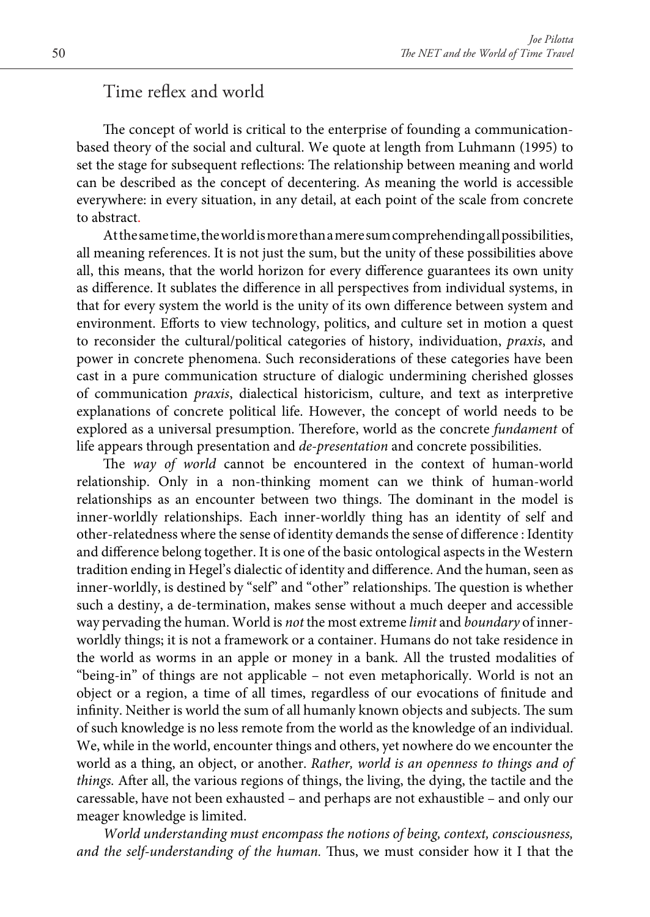### Time reflex and world

The concept of world is critical to the enterprise of founding a communicationbased theory of the social and cultural. We quote at length from Luhmann (1995) to set the stage for subsequent reflections: The relationship between meaning and world can be described as the concept of decentering. As meaning the world is accessible everywhere: in every situation, in any detail, at each point of the scale from concrete to abstract.

At the same time, the world is more than a mere sum comprehending all possibilities, all meaning references. It is not just the sum, but the unity of these possibilities above all, this means, that the world horizon for every difference guarantees its own unity as difference. It sublates the difference in all perspectives from individual systems, in that for every system the world is the unity of its own difference between system and environment. Efforts to view technology, politics, and culture set in motion a quest to reconsider the cultural/political categories of history, individuation, *praxis*, and power in concrete phenomena. Such reconsiderations of these categories have been cast in a pure communication structure of dialogic undermining cherished glosses of communication *praxis*, dialectical historicism, culture, and text as interpretive explanations of concrete political life. However, the concept of world needs to be explored as a universal presumption. Therefore, world as the concrete *fundament* of life appears through presentation and *de-presentation* and concrete possibilities.

The *way of world* cannot be encountered in the context of human-world relationship. Only in a non-thinking moment can we think of human-world relationships as an encounter between two things. The dominant in the model is inner-worldly relationships. Each inner-worldly thing has an identity of self and other-relatedness where the sense of identity demands the sense of difference : Identity and difference belong together. It is one of the basic ontological aspects in the Western tradition ending in Hegel's dialectic of identity and difference. And the human, seen as inner-worldly, is destined by "self" and "other" relationships. The question is whether such a destiny, a de-termination, makes sense without a much deeper and accessible way pervading the human. World is *not* the most extreme *limit* and *boundary* of innerworldly things; it is not a framework or a container. Humans do not take residence in the world as worms in an apple or money in a bank. All the trusted modalities of "being-in" of things are not applicable – not even metaphorically. World is not an object or a region, a time of all times, regardless of our evocations of finitude and infinity. Neither is world the sum of all humanly known objects and subjects. The sum of such knowledge is no less remote from the world as the knowledge of an individual. We, while in the world, encounter things and others, yet nowhere do we encounter the world as a thing, an object, or another. *Rather, world is an openness to things and of things.* After all, the various regions of things, the living, the dying, the tactile and the caressable, have not been exhausted – and perhaps are not exhaustible – and only our meager knowledge is limited.

*World understanding must encompass the notions of being, context, consciousness, and the self-understanding of the human.* Thus, we must consider how it I that the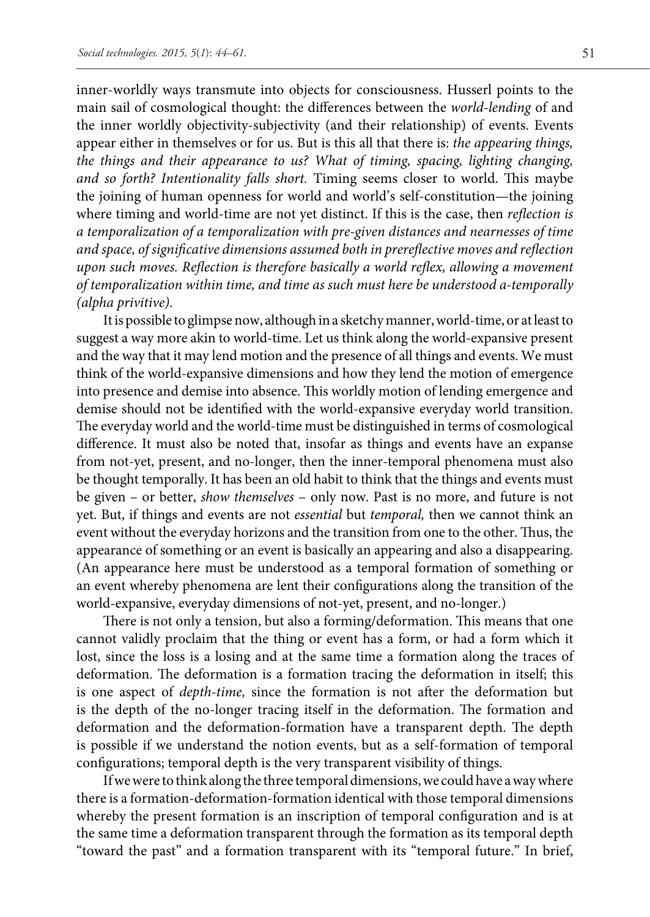inner-worldly ways transmute into objects for consciousness. Husserl points to the main sail of cosmological thought: the differences between the *world-lending* of and the inner worldly objectivity-subjectivity (and their relationship) of events. Events appear either in themselves or for us. But is this all that there is: *the appearing things, the things and their appearance to us? What of timing, spacing, lighting changing, and so forth? Intentionality falls short.* Timing seems closer to world. This maybe the joining of human openness for world and world's self-constitution—the joining where timing and world-time are not yet distinct. If this is the case, then *reflection is a temporalization of a temporalization with pre-given distances and nearnesses of time and space, of significative dimensions assumed both in prereflective moves and reflection upon such moves. Reflection is therefore basically a world reflex, allowing a movement of temporalization within time, and time as such must here be understood a-temporally (alpha privitive).*

It is possible to glimpse now, although in a sketchy manner, world-time, or at least to suggest a way more akin to world-time. Let us think along the world-expansive present and the way that it may lend motion and the presence of all things and events. We must think of the world-expansive dimensions and how they lend the motion of emergence into presence and demise into absence. This worldly motion of lending emergence and demise should not be identified with the world-expansive everyday world transition. The everyday world and the world-time must be distinguished in terms of cosmological difference. It must also be noted that, insofar as things and events have an expanse from not-yet, present, and no-longer, then the inner-temporal phenomena must also be thought temporally. It has been an old habit to think that the things and events must be given – or better, *show themselves* – only now. Past is no more, and future is not yet. But, if things and events are not *essential* but *temporal,* then we cannot think an event without the everyday horizons and the transition from one to the other. Thus, the appearance of something or an event is basically an appearing and also a disappearing. (An appearance here must be understood as a temporal formation of something or an event whereby phenomena are lent their configurations along the transition of the world-expansive, everyday dimensions of not-yet, present, and no-longer.)

There is not only a tension, but also a forming/deformation. This means that one cannot validly proclaim that the thing or event has a form, or had a form which it lost, since the loss is a losing and at the same time a formation along the traces of deformation. The deformation is a formation tracing the deformation in itself; this is one aspect of *depth-time,* since the formation is not after the deformation but is the depth of the no-longer tracing itself in the deformation. The formation and deformation and the deformation-formation have a transparent depth. The depth is possible if we understand the notion events, but as a self-formation of temporal configurations; temporal depth is the very transparent visibility of things.

If we were to think along the three temporal dimensions, we could have a way where there is a formation-deformation-formation identical with those temporal dimensions whereby the present formation is an inscription of temporal configuration and is at the same time a deformation transparent through the formation as its temporal depth "toward the past" and a formation transparent with its "temporal future." In brief,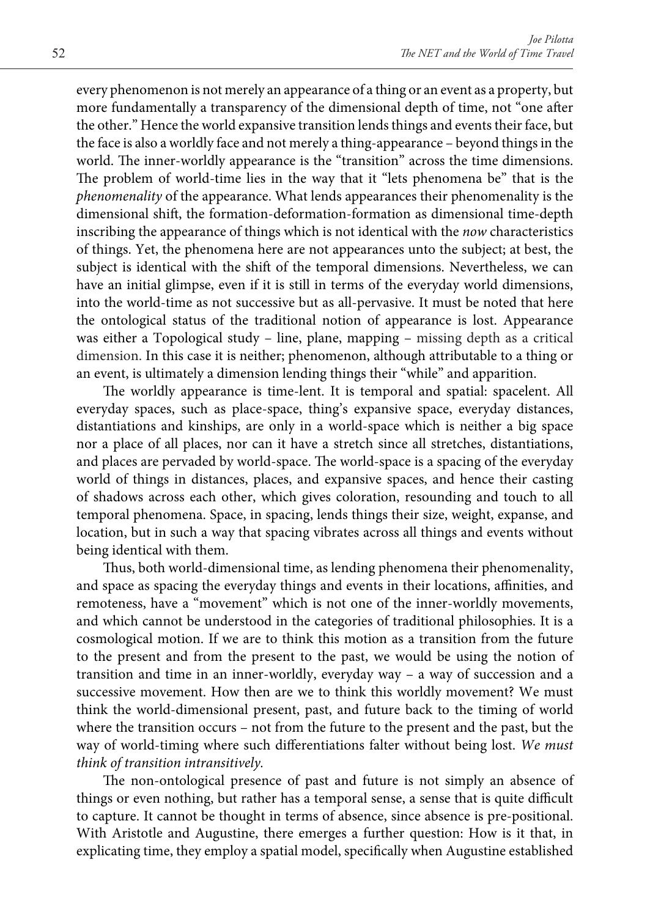every phenomenon is not merely an appearance of a thing or an event as a property, but more fundamentally a transparency of the dimensional depth of time, not "one after the other." Hence the world expansive transition lends things and events their face, but the face is also a worldly face and not merely a thing-appearance – beyond things in the world. The inner-worldly appearance is the "transition" across the time dimensions. The problem of world-time lies in the way that it "lets phenomena be" that is the *phenomenality* of the appearance. What lends appearances their phenomenality is the dimensional shift, the formation-deformation-formation as dimensional time-depth inscribing the appearance of things which is not identical with the *now* characteristics of things. Yet, the phenomena here are not appearances unto the subject; at best, the subject is identical with the shift of the temporal dimensions. Nevertheless, we can have an initial glimpse, even if it is still in terms of the everyday world dimensions, into the world-time as not successive but as all-pervasive. It must be noted that here the ontological status of the traditional notion of appearance is lost. Appearance was either a Topological study – line, plane, mapping – missing depth as a critical dimension. In this case it is neither; phenomenon, although attributable to a thing or an event, is ultimately a dimension lending things their "while" and apparition.

The worldly appearance is time-lent. It is temporal and spatial: spacelent. All everyday spaces, such as place-space, thing's expansive space, everyday distances, distantiations and kinships, are only in a world-space which is neither a big space nor a place of all places, nor can it have a stretch since all stretches, distantiations, and places are pervaded by world-space. The world-space is a spacing of the everyday world of things in distances, places, and expansive spaces, and hence their casting of shadows across each other, which gives coloration, resounding and touch to all temporal phenomena. Space, in spacing, lends things their size, weight, expanse, and location, but in such a way that spacing vibrates across all things and events without being identical with them.

Thus, both world-dimensional time, as lending phenomena their phenomenality, and space as spacing the everyday things and events in their locations, affinities, and remoteness, have a "movement" which is not one of the inner-worldly movements, and which cannot be understood in the categories of traditional philosophies. It is a cosmological motion. If we are to think this motion as a transition from the future to the present and from the present to the past, we would be using the notion of transition and time in an inner-worldly, everyday way – a way of succession and a successive movement. How then are we to think this worldly movement? We must think the world-dimensional present, past, and future back to the timing of world where the transition occurs – not from the future to the present and the past, but the way of world-timing where such differentiations falter without being lost. *We must think of transition intransitively.*

The non-ontological presence of past and future is not simply an absence of things or even nothing, but rather has a temporal sense, a sense that is quite difficult to capture. It cannot be thought in terms of absence, since absence is pre-positional. With Aristotle and Augustine, there emerges a further question: How is it that, in explicating time, they employ a spatial model, specifically when Augustine established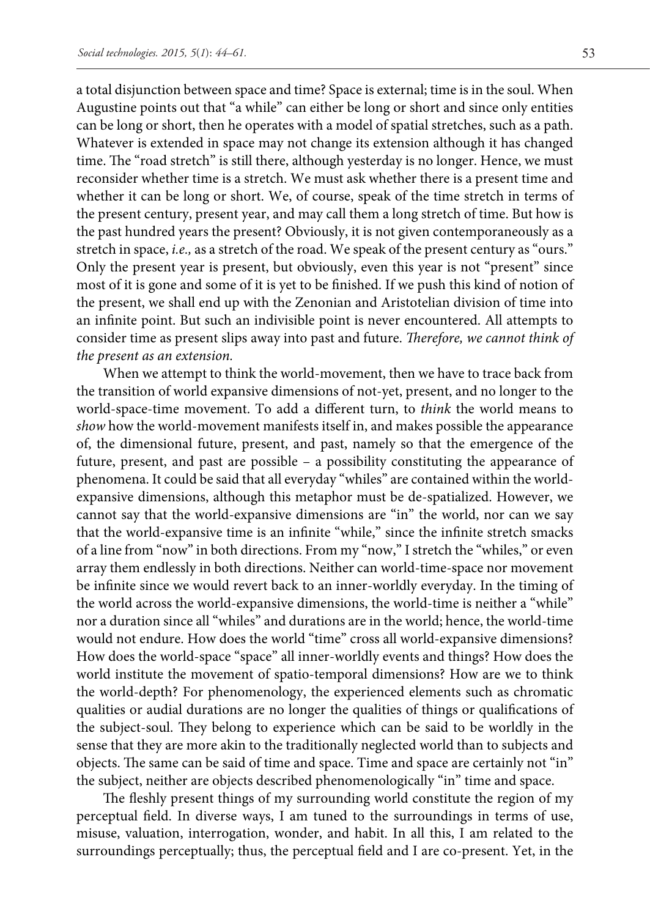a total disjunction between space and time? Space is external; time is in the soul. When Augustine points out that "a while" can either be long or short and since only entities can be long or short, then he operates with a model of spatial stretches, such as a path. Whatever is extended in space may not change its extension although it has changed time. The "road stretch" is still there, although yesterday is no longer. Hence, we must reconsider whether time is a stretch. We must ask whether there is a present time and whether it can be long or short. We, of course, speak of the time stretch in terms of the present century, present year, and may call them a long stretch of time. But how is the past hundred years the present? Obviously, it is not given contemporaneously as a stretch in space, *i.e.,* as a stretch of the road. We speak of the present century as "ours." Only the present year is present, but obviously, even this year is not "present" since most of it is gone and some of it is yet to be finished. If we push this kind of notion of the present, we shall end up with the Zenonian and Aristotelian division of time into an infinite point. But such an indivisible point is never encountered. All attempts to consider time as present slips away into past and future. *Therefore, we cannot think of the present as an extension.* 

When we attempt to think the world-movement, then we have to trace back from the transition of world expansive dimensions of not-yet, present, and no longer to the world-space-time movement. To add a different turn, to *think* the world means to *show* how the world-movement manifests itself in, and makes possible the appearance of, the dimensional future, present, and past, namely so that the emergence of the future, present, and past are possible – a possibility constituting the appearance of phenomena. It could be said that all everyday "whiles" are contained within the worldexpansive dimensions, although this metaphor must be de-spatialized. However, we cannot say that the world-expansive dimensions are "in" the world, nor can we say that the world-expansive time is an infinite "while," since the infinite stretch smacks of a line from "now" in both directions. From my "now," I stretch the "whiles," or even array them endlessly in both directions. Neither can world-time-space nor movement be infinite since we would revert back to an inner-worldly everyday. In the timing of the world across the world-expansive dimensions, the world-time is neither a "while" nor a duration since all "whiles" and durations are in the world; hence, the world-time would not endure. How does the world "time" cross all world-expansive dimensions? How does the world-space "space" all inner-worldly events and things? How does the world institute the movement of spatio-temporal dimensions? How are we to think the world-depth? For phenomenology, the experienced elements such as chromatic qualities or audial durations are no longer the qualities of things or qualifications of the subject-soul. They belong to experience which can be said to be worldly in the sense that they are more akin to the traditionally neglected world than to subjects and objects. The same can be said of time and space. Time and space are certainly not "in" the subject, neither are objects described phenomenologically "in" time and space.

The fleshly present things of my surrounding world constitute the region of my perceptual field. In diverse ways, I am tuned to the surroundings in terms of use, misuse, valuation, interrogation, wonder, and habit. In all this, I am related to the surroundings perceptually; thus, the perceptual field and I are co-present. Yet, in the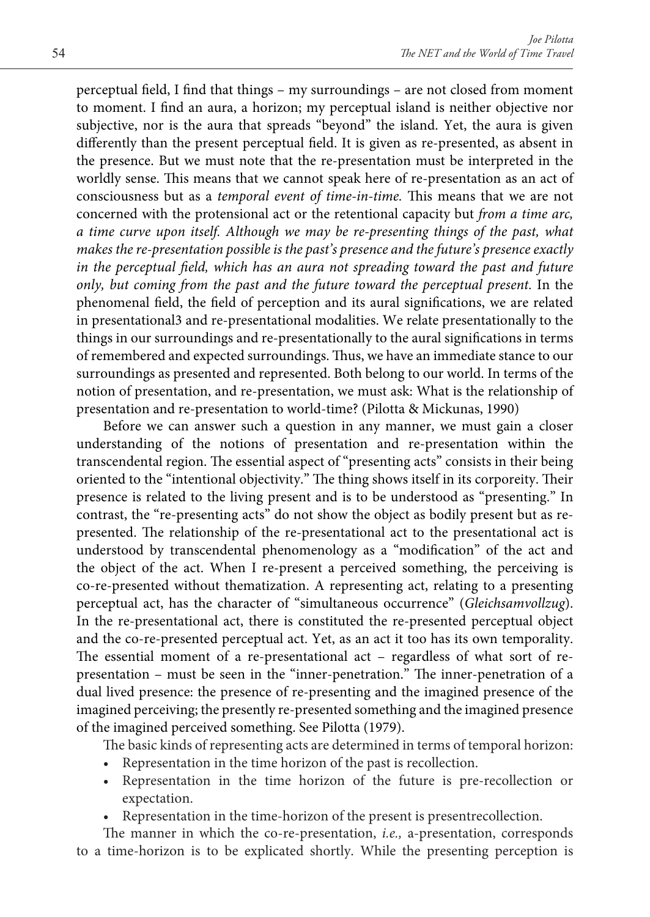perceptual field, I find that things – my surroundings – are not closed from moment to moment. I find an aura, a horizon; my perceptual island is neither objective nor subjective, nor is the aura that spreads "beyond" the island. Yet, the aura is given differently than the present perceptual field. It is given as re-presented, as absent in the presence. But we must note that the re-presentation must be interpreted in the worldly sense. This means that we cannot speak here of re-presentation as an act of consciousness but as a *temporal event of time-in-time.* This means that we are not concerned with the protensional act or the retentional capacity but *from a time arc, a time curve upon itself. Although we may be re-presenting things of the past, what makes the re-presentation possible is the past's presence and the future's presence exactly in the perceptual field, which has an aura not spreading toward the past and future only, but coming from the past and the future toward the perceptual present.* In the phenomenal field, the field of perception and its aural significations, we are related in presentational3 and re-presentational modalities. We relate presentationally to the things in our surroundings and re-presentationally to the aural significations in terms of remembered and expected surroundings. Thus, we have an immediate stance to our surroundings as presented and represented. Both belong to our world. In terms of the notion of presentation, and re-presentation, we must ask: What is the relationship of presentation and re-presentation to world-time? (Pilotta & Mickunas, 1990)

Before we can answer such a question in any manner, we must gain a closer understanding of the notions of presentation and re-presentation within the transcendental region. The essential aspect of "presenting acts" consists in their being oriented to the "intentional objectivity." The thing shows itself in its corporeity. Their presence is related to the living present and is to be understood as "presenting." In contrast, the "re-presenting acts" do not show the object as bodily present but as represented. The relationship of the re-presentational act to the presentational act is understood by transcendental phenomenology as a "modification" of the act and the object of the act. When I re-present a perceived something, the perceiving is co-re-presented without thematization. A representing act, relating to a presenting perceptual act, has the character of "simultaneous occurrence" (*Gleichsamvollzug*). In the re-presentational act, there is constituted the re-presented perceptual object and the co-re-presented perceptual act. Yet, as an act it too has its own temporality. The essential moment of a re-presentational act – regardless of what sort of representation – must be seen in the "inner-penetration." The inner-penetration of a dual lived presence: the presence of re-presenting and the imagined presence of the imagined perceiving; the presently re-presented something and the imagined presence of the imagined perceived something. See Pilotta (1979).

The basic kinds of representing acts are determined in terms of temporal horizon:

- Representation in the time horizon of the past is recollection.
- Representation in the time horizon of the future is pre-recollection or expectation.
- Representation in the time-horizon of the present is present recollection.

The manner in which the co-re-presentation, *i.e.,* a-presentation, corresponds to a time-horizon is to be explicated shortly. While the presenting perception is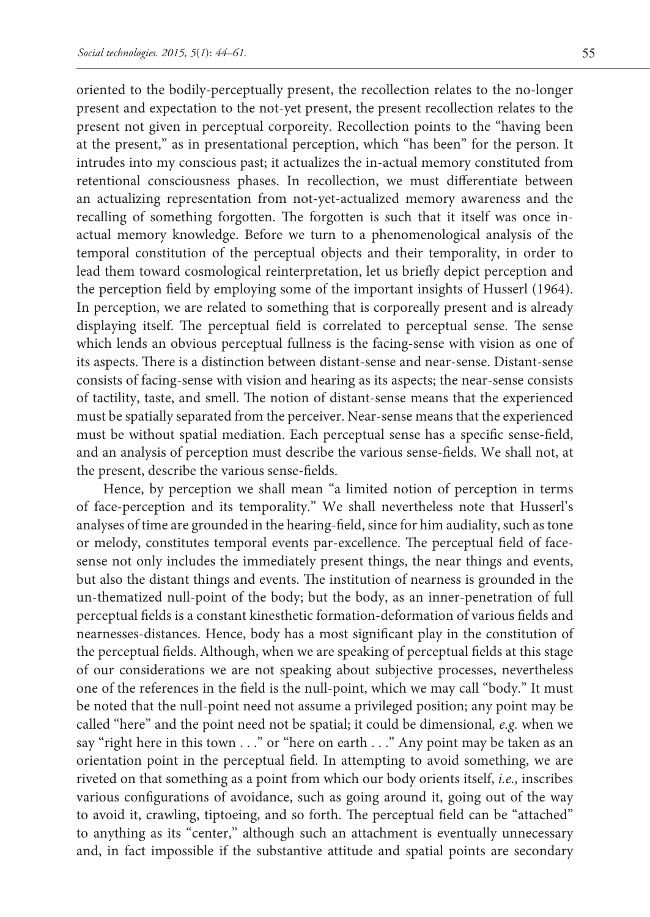oriented to the bodily-perceptually present, the recollection relates to the no-longer present and expectation to the not-yet present, the present recollection relates to the present not given in perceptual corporeity. Recollection points to the "having been at the present," as in presentational perception, which "has been" for the person. It intrudes into my conscious past; it actualizes the in-actual memory constituted from retentional consciousness phases. In recollection, we must differentiate between an actualizing representation from not-yet-actualized memory awareness and the recalling of something forgotten. The forgotten is such that it itself was once inactual memory knowledge. Before we turn to a phenomenological analysis of the temporal constitution of the perceptual objects and their temporality, in order to lead them toward cosmological reinterpretation, let us briefly depict perception and the perception field by employing some of the important insights of Husserl (1964). In perception, we are related to something that is corporeally present and is already displaying itself. The perceptual field is correlated to perceptual sense. The sense which lends an obvious perceptual fullness is the facing-sense with vision as one of its aspects. There is a distinction between distant-sense and near-sense. Distant-sense consists of facing-sense with vision and hearing as its aspects; the near-sense consists of tactility, taste, and smell. The notion of distant-sense means that the experienced must be spatially separated from the perceiver. Near-sense means that the experienced must be without spatial mediation. Each perceptual sense has a specific sense-field, and an analysis of perception must describe the various sense-fields. We shall not, at the present, describe the various sense-fields.

Hence, by perception we shall mean "a limited notion of perception in terms of face-perception and its temporality." We shall nevertheless note that Husserl's analyses of time are grounded in the hearing-field, since for him audiality, such as tone or melody, constitutes temporal events par-excellence. The perceptual field of facesense not only includes the immediately present things, the near things and events, but also the distant things and events. The institution of nearness is grounded in the un-thematized null-point of the body; but the body, as an inner-penetration of full perceptual fields is a constant kinesthetic formation-deformation of various fields and nearnesses-distances. Hence, body has a most significant play in the constitution of the perceptual fields. Although, when we are speaking of perceptual fields at this stage of our considerations we are not speaking about subjective processes, nevertheless one of the references in the field is the null-point, which we may call "body." It must be noted that the null-point need not assume a privileged position; any point may be called "here" and the point need not be spatial; it could be dimensional*, e.g.* when we say "right here in this town . . ." or "here on earth . . ." Any point may be taken as an orientation point in the perceptual field. In attempting to avoid something, we are riveted on that something as a point from which our body orients itself, *i.e.,* inscribes various configurations of avoidance, such as going around it, going out of the way to avoid it, crawling, tiptoeing, and so forth. The perceptual field can be "attached" to anything as its "center," although such an attachment is eventually unnecessary and, in fact impossible if the substantive attitude and spatial points are secondary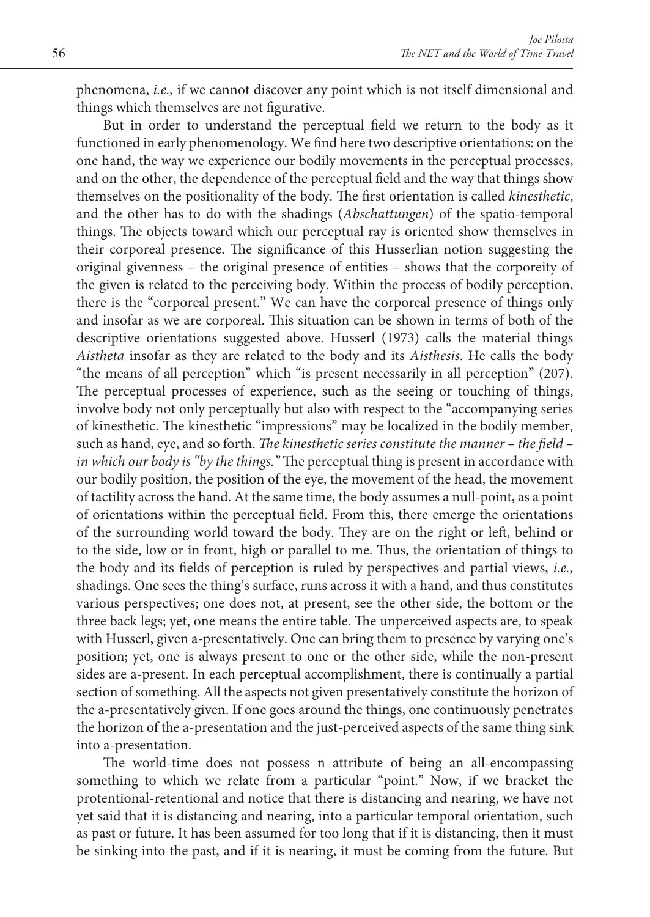phenomena, *i.e.,* if we cannot discover any point which is not itself dimensional and things which themselves are not figurative.

But in order to understand the perceptual field we return to the body as it functioned in early phenomenology. We find here two descriptive orientations: on the one hand, the way we experience our bodily movements in the perceptual processes, and on the other, the dependence of the perceptual field and the way that things show themselves on the positionality of the body. The first orientation is called *kinesthetic*, and the other has to do with the shadings (*Abschattungen*) of the spatio-temporal things. The objects toward which our perceptual ray is oriented show themselves in their corporeal presence. The significance of this Husserlian notion suggesting the original givenness – the original presence of entities – shows that the corporeity of the given is related to the perceiving body. Within the process of bodily perception, there is the "corporeal present." We can have the corporeal presence of things only and insofar as we are corporeal. This situation can be shown in terms of both of the descriptive orientations suggested above. Husserl (1973) calls the material things *Aistheta* insofar as they are related to the body and its *Aisthesis*. He calls the body "the means of all perception" which "is present necessarily in all perception" (207). The perceptual processes of experience, such as the seeing or touching of things, involve body not only perceptually but also with respect to the "accompanying series of kinesthetic. The kinesthetic "impressions" may be localized in the bodily member, such as hand, eye, and so forth. *The kinesthetic series constitute the manner – the field – in which our body is "by the things."* The perceptual thing is present in accordance with our bodily position, the position of the eye, the movement of the head, the movement of tactility across the hand. At the same time, the body assumes a null-point, as a point of orientations within the perceptual field. From this, there emerge the orientations of the surrounding world toward the body. They are on the right or left, behind or to the side, low or in front, high or parallel to me. Thus, the orientation of things to the body and its fields of perception is ruled by perspectives and partial views, *i.e.,*  shadings. One sees the thing's surface, runs across it with a hand, and thus constitutes various perspectives; one does not, at present, see the other side, the bottom or the three back legs; yet, one means the entire table. The unperceived aspects are, to speak with Husserl, given a-presentatively. One can bring them to presence by varying one's position; yet, one is always present to one or the other side, while the non-present sides are a-present. In each perceptual accomplishment, there is continually a partial section of something. All the aspects not given presentatively constitute the horizon of the a-presentatively given. If one goes around the things, one continuously penetrates the horizon of the a-presentation and the just-perceived aspects of the same thing sink into a-presentation.

The world-time does not possess n attribute of being an all-encompassing something to which we relate from a particular "point." Now, if we bracket the protentional-retentional and notice that there is distancing and nearing, we have not yet said that it is distancing and nearing, into a particular temporal orientation, such as past or future. It has been assumed for too long that if it is distancing, then it must be sinking into the past, and if it is nearing, it must be coming from the future. But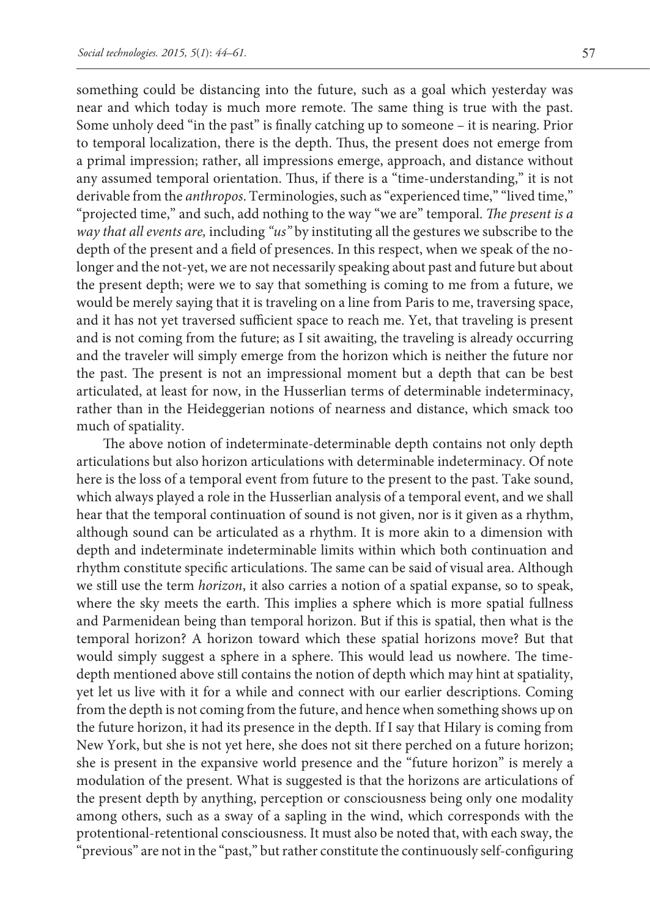something could be distancing into the future, such as a goal which yesterday was near and which today is much more remote. The same thing is true with the past. Some unholy deed "in the past" is finally catching up to someone – it is nearing. Prior to temporal localization, there is the depth. Thus, the present does not emerge from a primal impression; rather, all impressions emerge, approach, and distance without any assumed temporal orientation. Thus, if there is a "time-understanding," it is not derivable from the *anthropos*. Terminologies, such as "experienced time," "lived time," "projected time," and such, add nothing to the way "we are" temporal. *The present is a way that all events are,* including *"us"* by instituting all the gestures we subscribe to the depth of the present and a field of presences. In this respect, when we speak of the nolonger and the not-yet, we are not necessarily speaking about past and future but about the present depth; were we to say that something is coming to me from a future, we would be merely saying that it is traveling on a line from Paris to me, traversing space, and it has not yet traversed sufficient space to reach me. Yet, that traveling is present and is not coming from the future; as I sit awaiting, the traveling is already occurring and the traveler will simply emerge from the horizon which is neither the future nor the past. The present is not an impressional moment but a depth that can be best articulated, at least for now, in the Husserlian terms of determinable indeterminacy, rather than in the Heideggerian notions of nearness and distance, which smack too much of spatiality.

The above notion of indeterminate-determinable depth contains not only depth articulations but also horizon articulations with determinable indeterminacy. Of note here is the loss of a temporal event from future to the present to the past. Take sound, which always played a role in the Husserlian analysis of a temporal event, and we shall hear that the temporal continuation of sound is not given, nor is it given as a rhythm, although sound can be articulated as a rhythm. It is more akin to a dimension with depth and indeterminate indeterminable limits within which both continuation and rhythm constitute specific articulations. The same can be said of visual area. Although we still use the term *horizon*, it also carries a notion of a spatial expanse, so to speak, where the sky meets the earth. This implies a sphere which is more spatial fullness and Parmenidean being than temporal horizon. But if this is spatial, then what is the temporal horizon? A horizon toward which these spatial horizons move? But that would simply suggest a sphere in a sphere. This would lead us nowhere. The timedepth mentioned above still contains the notion of depth which may hint at spatiality, yet let us live with it for a while and connect with our earlier descriptions. Coming from the depth is not coming from the future, and hence when something shows up on the future horizon, it had its presence in the depth. If I say that Hilary is coming from New York, but she is not yet here, she does not sit there perched on a future horizon; she is present in the expansive world presence and the "future horizon" is merely a modulation of the present. What is suggested is that the horizons are articulations of the present depth by anything, perception or consciousness being only one modality among others, such as a sway of a sapling in the wind, which corresponds with the protentional-retentional consciousness. It must also be noted that, with each sway, the "previous" are not in the "past," but rather constitute the continuously self-configuring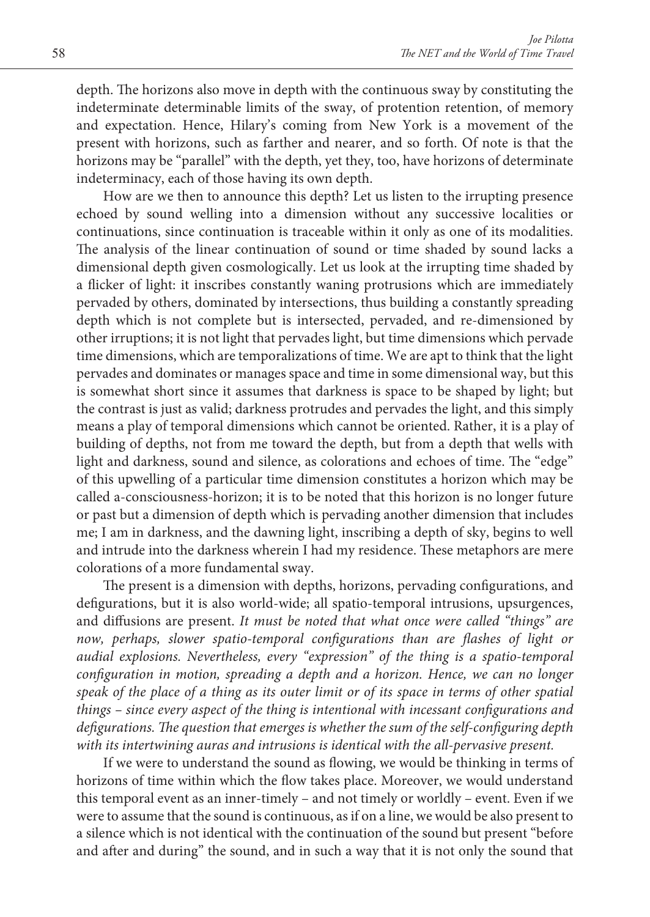depth. The horizons also move in depth with the continuous sway by constituting the indeterminate determinable limits of the sway, of protention retention, of memory and expectation. Hence, Hilary's coming from New York is a movement of the present with horizons, such as farther and nearer, and so forth. Of note is that the horizons may be "parallel" with the depth, yet they, too, have horizons of determinate indeterminacy, each of those having its own depth.

How are we then to announce this depth? Let us listen to the irrupting presence echoed by sound welling into a dimension without any successive localities or continuations, since continuation is traceable within it only as one of its modalities. The analysis of the linear continuation of sound or time shaded by sound lacks a dimensional depth given cosmologically. Let us look at the irrupting time shaded by a flicker of light: it inscribes constantly waning protrusions which are immediately pervaded by others, dominated by intersections, thus building a constantly spreading depth which is not complete but is intersected, pervaded, and re-dimensioned by other irruptions; it is not light that pervades light, but time dimensions which pervade time dimensions, which are temporalizations of time. We are apt to think that the light pervades and dominates or manages space and time in some dimensional way, but this is somewhat short since it assumes that darkness is space to be shaped by light; but the contrast is just as valid; darkness protrudes and pervades the light, and this simply means a play of temporal dimensions which cannot be oriented. Rather, it is a play of building of depths, not from me toward the depth, but from a depth that wells with light and darkness, sound and silence, as colorations and echoes of time. The "edge" of this upwelling of a particular time dimension constitutes a horizon which may be called a-consciousness-horizon; it is to be noted that this horizon is no longer future or past but a dimension of depth which is pervading another dimension that includes me; I am in darkness, and the dawning light, inscribing a depth of sky, begins to well and intrude into the darkness wherein I had my residence. These metaphors are mere colorations of a more fundamental sway.

The present is a dimension with depths, horizons, pervading configurations, and defigurations, but it is also world-wide; all spatio-temporal intrusions, upsurgences, and diffusions are present. *It must be noted that what once were called "things" are*  now, perhaps, slower spatio-temporal configurations than are flashes of light or *audial explosions. Nevertheless, every "expression" of the thing is a spatio-temporal configuration in motion, spreading a depth and a horizon. Hence, we can no longer speak of the place of a thing as its outer limit or of its space in terms of other spatial things – since every aspect of the thing is intentional with incessant configurations and defigurations. The question that emerges is whether the sum of the self-configuring depth with its intertwining auras and intrusions is identical with the all-pervasive present.*

If we were to understand the sound as flowing, we would be thinking in terms of horizons of time within which the flow takes place. Moreover, we would understand this temporal event as an inner-timely – and not timely or worldly – event. Even if we were to assume that the sound is continuous, as if on a line, we would be also present to a silence which is not identical with the continuation of the sound but present "before and after and during" the sound, and in such a way that it is not only the sound that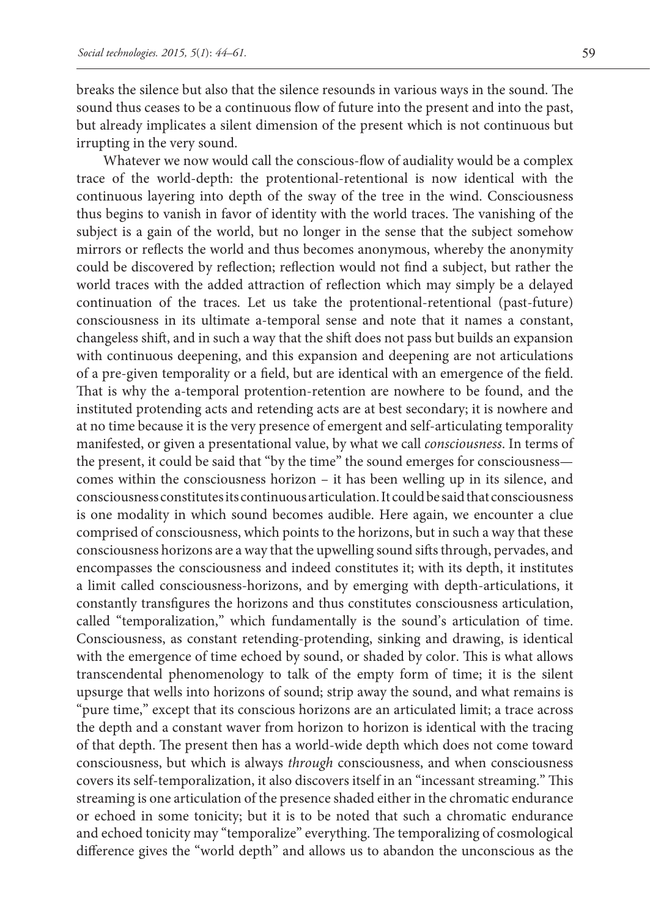breaks the silence but also that the silence resounds in various ways in the sound. The sound thus ceases to be a continuous flow of future into the present and into the past, but already implicates a silent dimension of the present which is not continuous but irrupting in the very sound.

Whatever we now would call the conscious-flow of audiality would be a complex trace of the world-depth: the protentional-retentional is now identical with the continuous layering into depth of the sway of the tree in the wind. Consciousness thus begins to vanish in favor of identity with the world traces. The vanishing of the subject is a gain of the world, but no longer in the sense that the subject somehow mirrors or reflects the world and thus becomes anonymous, whereby the anonymity could be discovered by reflection; reflection would not find a subject, but rather the world traces with the added attraction of reflection which may simply be a delayed continuation of the traces. Let us take the protentional-retentional (past-future) consciousness in its ultimate a-temporal sense and note that it names a constant, changeless shift, and in such a way that the shift does not pass but builds an expansion with continuous deepening, and this expansion and deepening are not articulations of a pre-given temporality or a field, but are identical with an emergence of the field. That is why the a-temporal protention-retention are nowhere to be found, and the instituted protending acts and retending acts are at best secondary; it is nowhere and at no time because it is the very presence of emergent and self-articulating temporality manifested, or given a presentational value, by what we call *consciousness*. In terms of the present, it could be said that "by the time" the sound emerges for consciousness comes within the consciousness horizon – it has been welling up in its silence, and consciousness constitutes its continuous articulation. It could be said that consciousness is one modality in which sound becomes audible. Here again, we encounter a clue comprised of consciousness, which points to the horizons, but in such a way that these consciousness horizons are a way that the upwelling sound sifts through, pervades, and encompasses the consciousness and indeed constitutes it; with its depth, it institutes a limit called consciousness-horizons, and by emerging with depth-articulations, it constantly transfigures the horizons and thus constitutes consciousness articulation, called "temporalization," which fundamentally is the sound's articulation of time. Consciousness, as constant retending-protending, sinking and drawing, is identical with the emergence of time echoed by sound, or shaded by color. This is what allows transcendental phenomenology to talk of the empty form of time; it is the silent upsurge that wells into horizons of sound; strip away the sound, and what remains is "pure time," except that its conscious horizons are an articulated limit; a trace across the depth and a constant waver from horizon to horizon is identical with the tracing of that depth. The present then has a world-wide depth which does not come toward consciousness, but which is always *through* consciousness, and when consciousness covers its self-temporalization, it also discovers itself in an "incessant streaming." This streaming is one articulation of the presence shaded either in the chromatic endurance or echoed in some tonicity; but it is to be noted that such a chromatic endurance and echoed tonicity may "temporalize" everything. The temporalizing of cosmological difference gives the "world depth" and allows us to abandon the unconscious as the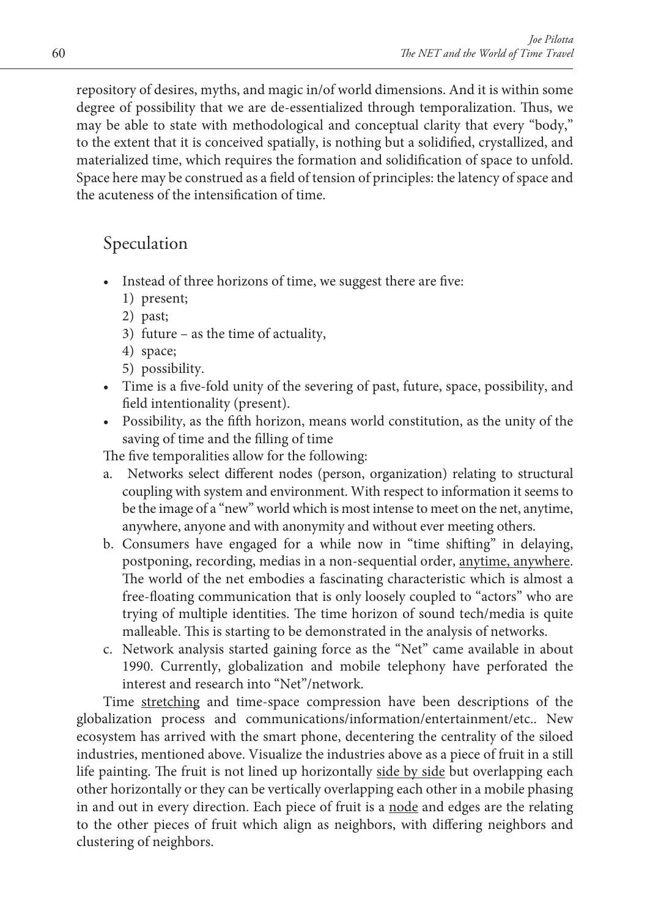repository of desires, myths, and magic in/of world dimensions. And it is within some degree of possibility that we are de-essentialized through temporalization. Thus, we may be able to state with methodological and conceptual clarity that every "body," to the extent that it is conceived spatially, is nothing but a solidified, crystallized, and materialized time, which requires the formation and solidification of space to unfold. Space here may be construed as a field of tension of principles: the latency of space and the acuteness of the intensification of time.

## Speculation

- Instead of three horizons of time, we suggest there are five:
	- 1) present;
	- 2) past;
	- 3) future as the time of actuality,
	- 4) space;
	- 5) possibility.
- Time is a five-fold unity of the severing of past, future, space, possibility, and field intentionality (present).
- Possibility, as the fifth horizon, means world constitution, as the unity of the saving of time and the filling of time

The five temporalities allow for the following:

- a. Networks select different nodes (person, organization) relating to structural coupling with system and environment. With respect to information it seems to be the image of a "new" world which is most intense to meet on the net, anytime, anywhere, anyone and with anonymity and without ever meeting others.
- b. Consumers have engaged for a while now in "time shifting" in delaying, postponing, recording, medias in a non-sequential order, anytime, anywhere. The world of the net embodies a fascinating characteristic which is almost a free-floating communication that is only loosely coupled to "actors" who are trying of multiple identities. The time horizon of sound tech/media is quite malleable. This is starting to be demonstrated in the analysis of networks.
- c. Network analysis started gaining force as the "Net" came available in about 1990. Currently, globalization and mobile telephony have perforated the interest and research into "Net"/network.

Time stretching and time-space compression have been descriptions of the globalization process and communications/information/entertainment/etc.. New ecosystem has arrived with the smart phone, decentering the centrality of the siloed industries, mentioned above. Visualize the industries above as a piece of fruit in a still life painting. The fruit is not lined up horizontally side by side but overlapping each other horizontally or they can be vertically overlapping each other in a mobile phasing in and out in every direction. Each piece of fruit is a node and edges are the relating to the other pieces of fruit which align as neighbors, with differing neighbors and clustering of neighbors.